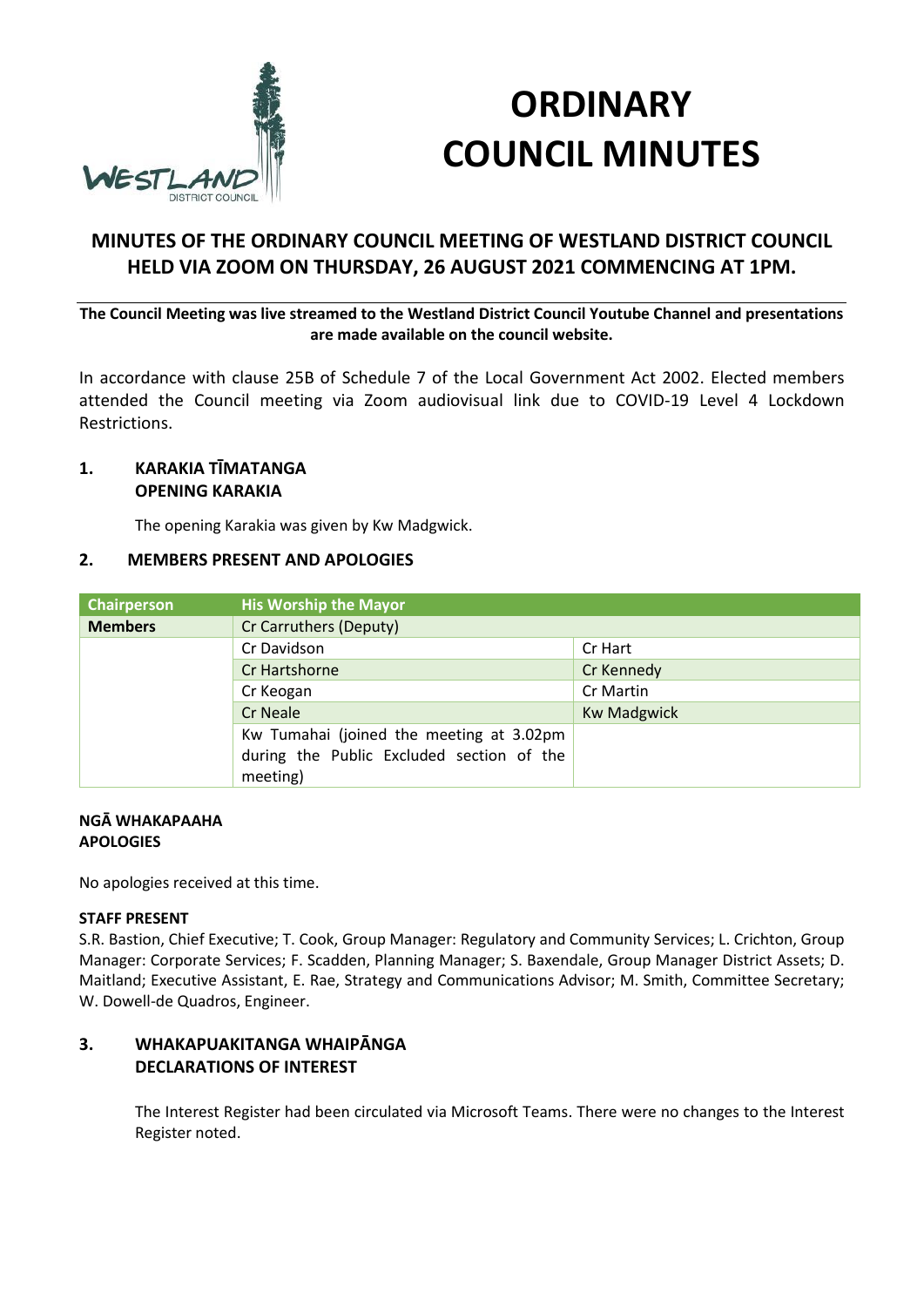

# **ORDINARY COUNCIL MINUTES**

# **MINUTES OF THE ORDINARY COUNCIL MEETING OF WESTLAND DISTRICT COUNCIL HELD VIA ZOOM ON THURSDAY, 26 AUGUST 2021 COMMENCING AT 1PM.**

**The Council Meeting was live streamed to the Westland District Council Youtube Channel and presentations are made available on the council website.**

In accordance with clause 25B of Schedule 7 of the Local Government Act 2002. Elected members attended the Council meeting via Zoom audiovisual link due to COVID-19 Level 4 Lockdown Restrictions.

## **1. KARAKIA TĪMATANGA OPENING KARAKIA**

The opening Karakia was given by Kw Madgwick.

#### **2. MEMBERS PRESENT AND APOLOGIES**

| <b>Chairperson</b> | <b>His Worship the Mayor</b>              |                    |
|--------------------|-------------------------------------------|--------------------|
| <b>Members</b>     | Cr Carruthers (Deputy)                    |                    |
|                    | Cr Davidson                               | Cr Hart            |
|                    | Cr Hartshorne                             | Cr Kennedy         |
|                    | Cr Keogan                                 | Cr Martin          |
|                    | <b>Cr Neale</b>                           | <b>Kw Madgwick</b> |
|                    | Kw Tumahai (joined the meeting at 3.02pm  |                    |
|                    | during the Public Excluded section of the |                    |
|                    | meeting)                                  |                    |

#### **NGĀ WHAKAPAAHA APOLOGIES**

No apologies received at this time.

#### **STAFF PRESENT**

S.R. Bastion, Chief Executive; T. Cook, Group Manager: Regulatory and Community Services; L. Crichton, Group Manager: Corporate Services; F. Scadden, Planning Manager; S. Baxendale, Group Manager District Assets; D. Maitland; Executive Assistant, E. Rae, Strategy and Communications Advisor; M. Smith, Committee Secretary; W. Dowell-de Quadros, Engineer.

## **3. WHAKAPUAKITANGA WHAIPĀNGA DECLARATIONS OF INTEREST**

The Interest Register had been circulated via Microsoft Teams. There were no changes to the Interest Register noted.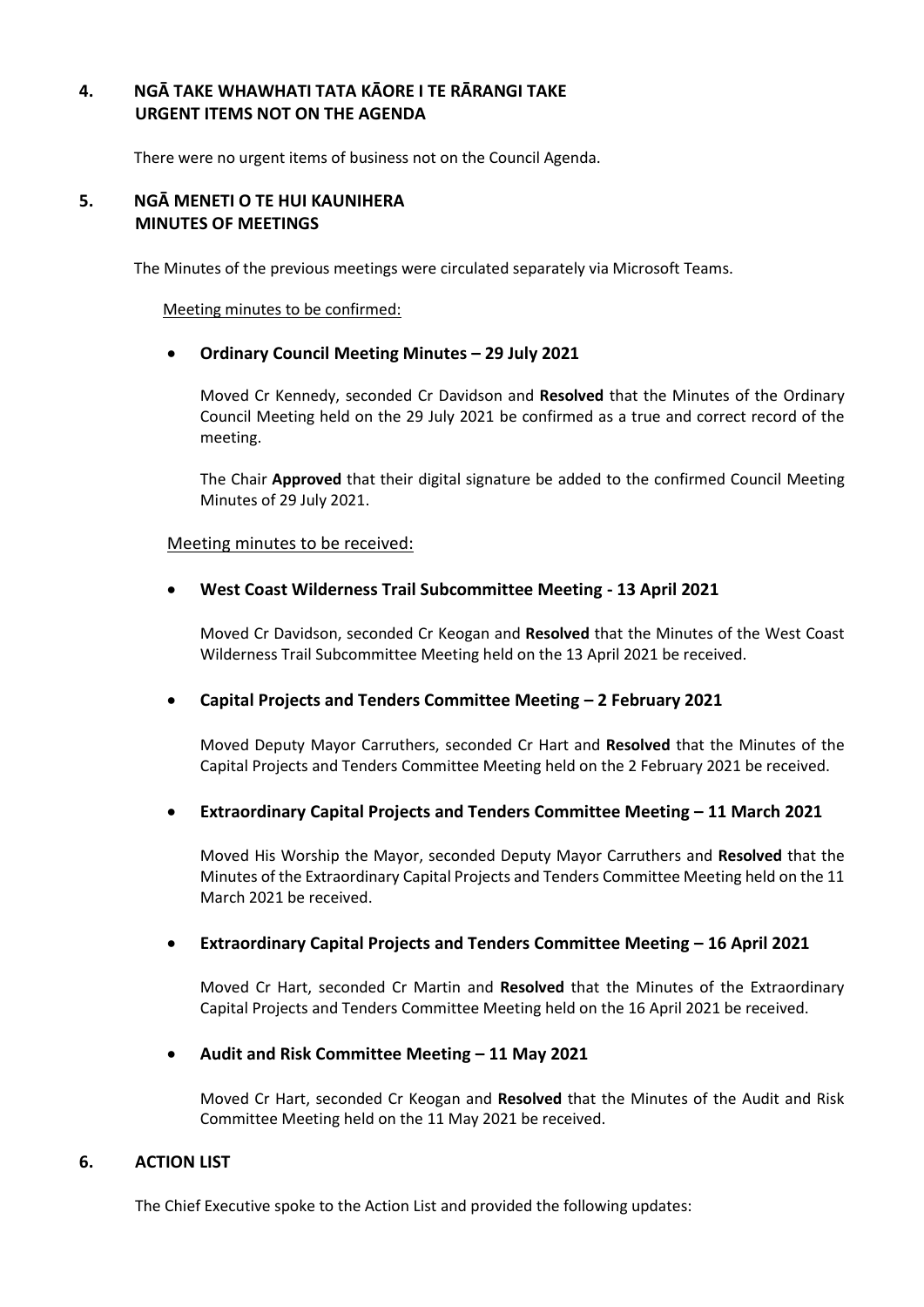## **4. NGĀ TAKE WHAWHATI TATA KĀORE I TE RĀRANGI TAKE URGENT ITEMS NOT ON THE AGENDA**

There were no urgent items of business not on the Council Agenda.

#### **5. NGĀ MENETI O TE HUI KAUNIHERA MINUTES OF MEETINGS**

The Minutes of the previous meetings were circulated separately via Microsoft Teams.

#### Meeting minutes to be confirmed:

#### **Ordinary Council Meeting Minutes – 29 July 2021**

Moved Cr Kennedy, seconded Cr Davidson and **Resolved** that the Minutes of the Ordinary Council Meeting held on the 29 July 2021 be confirmed as a true and correct record of the meeting.

The Chair **Approved** that their digital signature be added to the confirmed Council Meeting Minutes of 29 July 2021.

#### Meeting minutes to be received:

#### **West Coast Wilderness Trail Subcommittee Meeting - 13 April 2021**

Moved Cr Davidson, seconded Cr Keogan and **Resolved** that the Minutes of the West Coast Wilderness Trail Subcommittee Meeting held on the 13 April 2021 be received.

#### **Capital Projects and Tenders Committee Meeting – 2 February 2021**

Moved Deputy Mayor Carruthers, seconded Cr Hart and **Resolved** that the Minutes of the Capital Projects and Tenders Committee Meeting held on the 2 February 2021 be received.

#### **Extraordinary Capital Projects and Tenders Committee Meeting – 11 March 2021**

Moved His Worship the Mayor, seconded Deputy Mayor Carruthers and **Resolved** that the Minutes of the Extraordinary Capital Projects and Tenders Committee Meeting held on the 11 March 2021 be received.

#### **Extraordinary Capital Projects and Tenders Committee Meeting – 16 April 2021**

Moved Cr Hart, seconded Cr Martin and **Resolved** that the Minutes of the Extraordinary Capital Projects and Tenders Committee Meeting held on the 16 April 2021 be received.

#### **Audit and Risk Committee Meeting – 11 May 2021**

Moved Cr Hart, seconded Cr Keogan and **Resolved** that the Minutes of the Audit and Risk Committee Meeting held on the 11 May 2021 be received.

#### **6. ACTION LIST**

The Chief Executive spoke to the Action List and provided the following updates: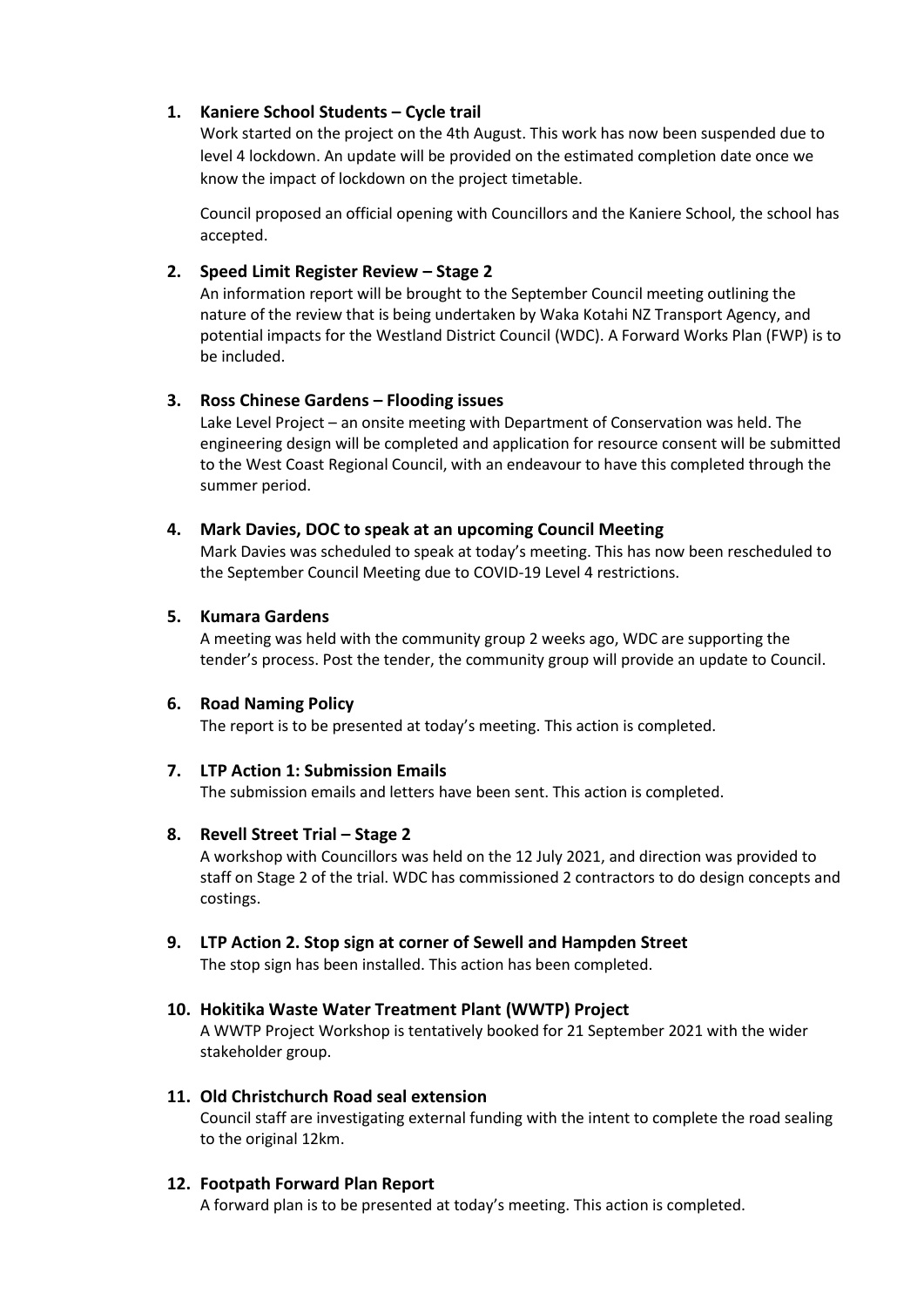## **1. Kaniere School Students – Cycle trail**

Work started on the project on the 4th August. This work has now been suspended due to level 4 lockdown. An update will be provided on the estimated completion date once we know the impact of lockdown on the project timetable.

Council proposed an official opening with Councillors and the Kaniere School, the school has accepted.

## **2. Speed Limit Register Review – Stage 2**

An information report will be brought to the September Council meeting outlining the nature of the review that is being undertaken by Waka Kotahi NZ Transport Agency, and potential impacts for the Westland District Council (WDC). A Forward Works Plan (FWP) is to be included.

## **3. Ross Chinese Gardens – Flooding issues**

Lake Level Project – an onsite meeting with Department of Conservation was held. The engineering design will be completed and application for resource consent will be submitted to the West Coast Regional Council, with an endeavour to have this completed through the summer period.

#### **4. Mark Davies, DOC to speak at an upcoming Council Meeting**

Mark Davies was scheduled to speak at today's meeting. This has now been rescheduled to the September Council Meeting due to COVID-19 Level 4 restrictions.

#### **5. Kumara Gardens**

A meeting was held with the community group 2 weeks ago, WDC are supporting the tender's process. Post the tender, the community group will provide an update to Council.

#### **6. Road Naming Policy**

The report is to be presented at today's meeting. This action is completed.

#### **7. LTP Action 1: Submission Emails**

The submission emails and letters have been sent. This action is completed.

#### **8.** Revell Street Trial – Stage 2

A workshop with Councillors was held on the 12 July 2021, and direction was provided to staff on Stage 2 of the trial. WDC has commissioned 2 contractors to do design concepts and costings.

#### **9. LTP Action 2. Stop sign at corner of Sewell and Hampden Street**

The stop sign has been installed. This action has been completed.

#### **10. Hokitika Waste Water Treatment Plant (WWTP) Project**

A WWTP Project Workshop is tentatively booked for 21 September 2021 with the wider stakeholder group.

## **11. Old Christchurch Road seal extension**

Council staff are investigating external funding with the intent to complete the road sealing to the original 12km.

#### **12. Footpath Forward Plan Report**

A forward plan is to be presented at today's meeting. This action is completed.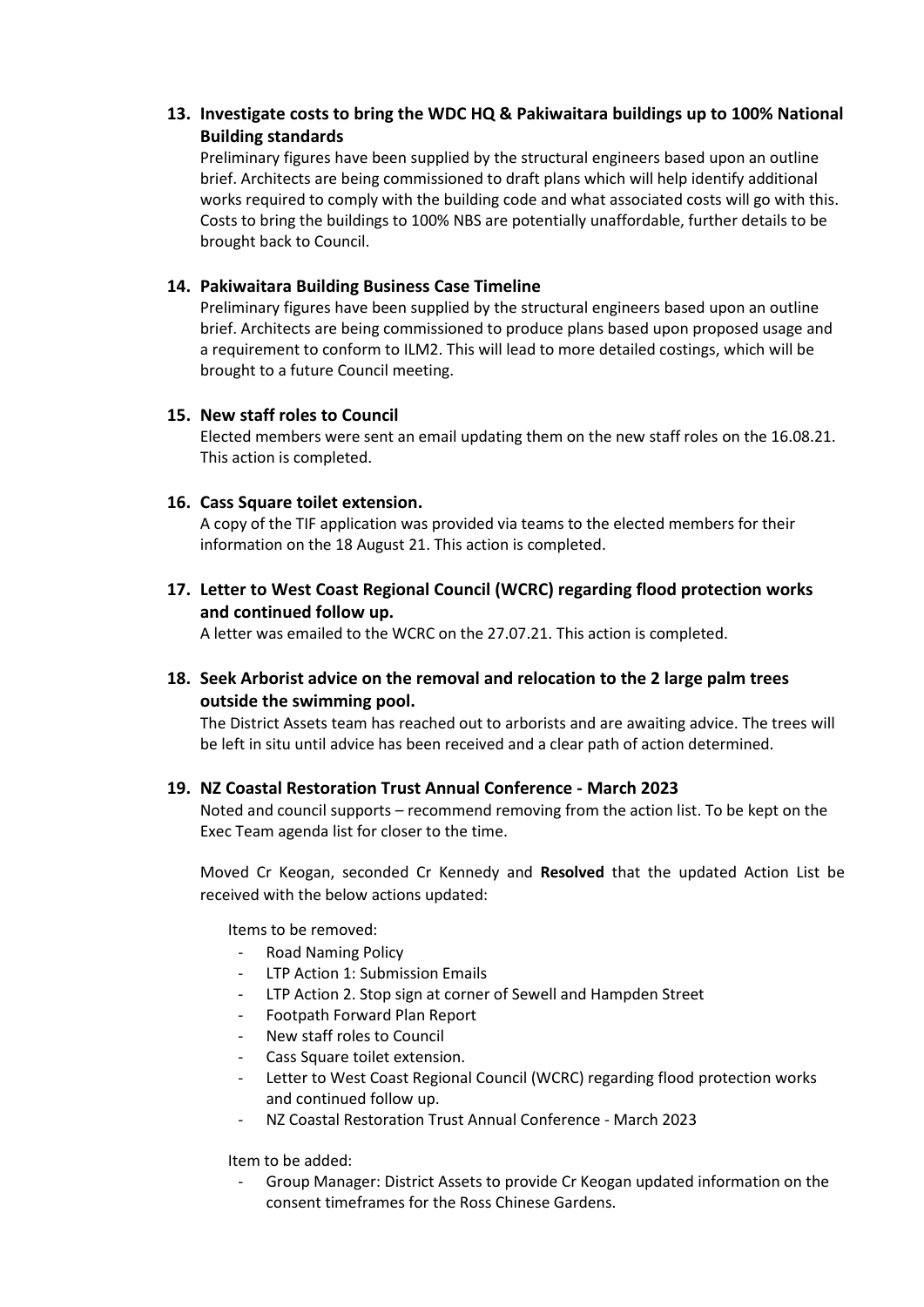## **13. Investigate costs to bring the WDC HQ & Pakiwaitara buildings up to 100% National Building standards**

Preliminary figures have been supplied by the structural engineers based upon an outline brief. Architects are being commissioned to draft plans which will help identify additional works required to comply with the building code and what associated costs will go with this. Costs to bring the buildings to 100% NBS are potentially unaffordable, further details to be brought back to Council.

## **14. Pakiwaitara Building Business Case Timeline**

Preliminary figures have been supplied by the structural engineers based upon an outline brief. Architects are being commissioned to produce plans based upon proposed usage and a requirement to conform to ILM2. This will lead to more detailed costings, which will be brought to a future Council meeting.

#### **15. New staff roles to Council**

Elected members were sent an email updating them on the new staff roles on the 16.08.21. This action is completed.

#### **16. Cass Square toilet extension.**

A copy of the TIF application was provided via teams to the elected members for their information on the 18 August 21. This action is completed.

**17. Letter to West Coast Regional Council (WCRC) regarding flood protection works and continued follow up.**

A letter was emailed to the WCRC on the 27.07.21. This action is completed.

**18. Seek Arborist advice on the removal and relocation to the 2 large palm trees outside the swimming pool.**

The District Assets team has reached out to arborists and are awaiting advice. The trees will be left in situ until advice has been received and a clear path of action determined.

#### **19. NZ Coastal Restoration Trust Annual Conference - March 2023**

Noted and council supports – recommend removing from the action list. To be kept on the Exec Team agenda list for closer to the time.

Moved Cr Keogan, seconded Cr Kennedy and **Resolved** that the updated Action List be received with the below actions updated:

Items to be removed:

- Road Naming Policy
- LTP Action 1: Submission Emails
- LTP Action 2. Stop sign at corner of Sewell and Hampden Street
- Footpath Forward Plan Report
- New staff roles to Council
- Cass Square toilet extension.
- Letter to West Coast Regional Council (WCRC) regarding flood protection works and continued follow up.
- NZ Coastal Restoration Trust Annual Conference March 2023

#### Item to be added:

- Group Manager: District Assets to provide Cr Keogan updated information on the consent timeframes for the Ross Chinese Gardens.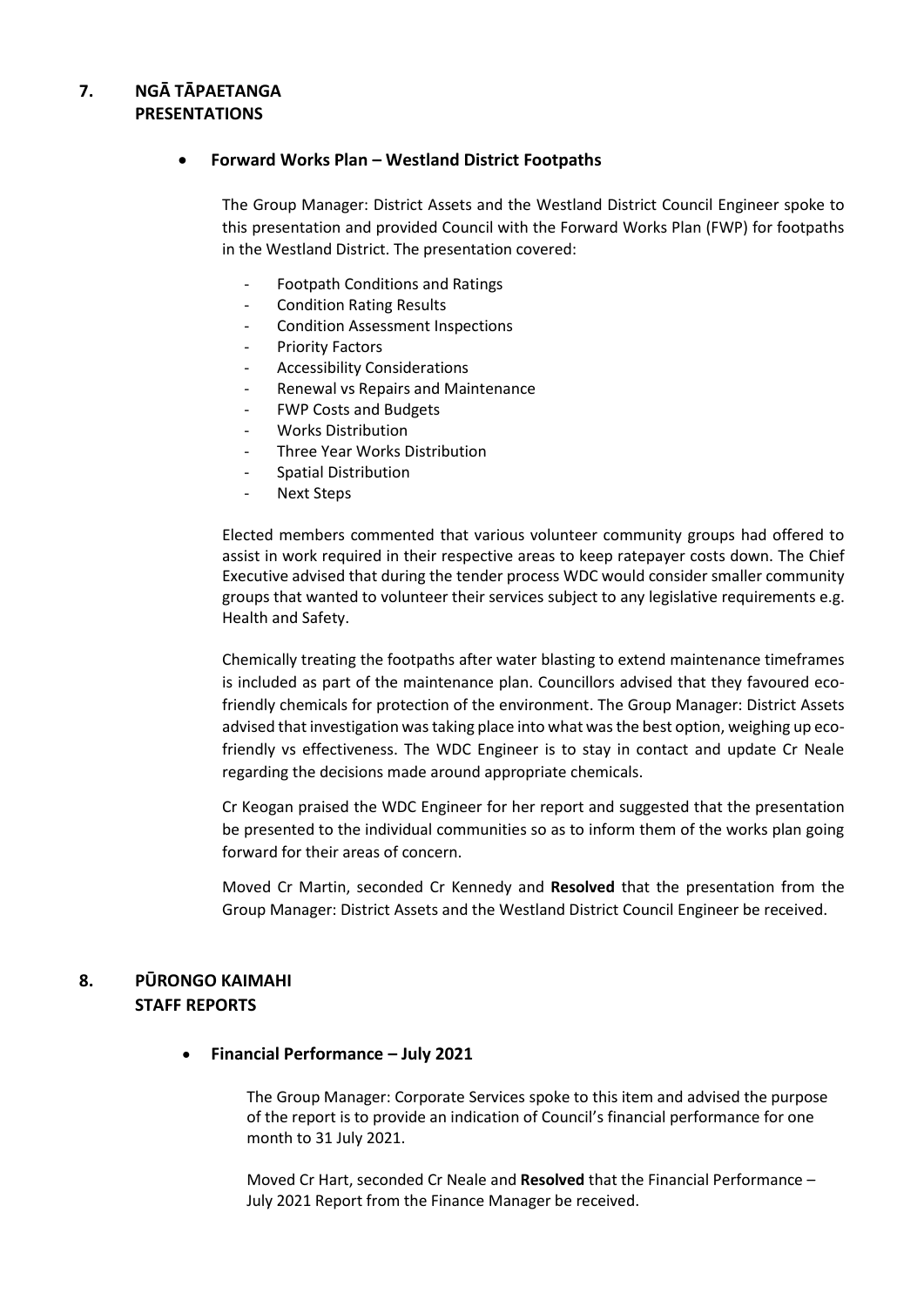## **7. NGĀ TĀPAETANGA PRESENTATIONS**

#### **Forward Works Plan – Westland District Footpaths**

The Group Manager: District Assets and the Westland District Council Engineer spoke to this presentation and provided Council with the Forward Works Plan (FWP) for footpaths in the Westland District. The presentation covered:

- Footpath Conditions and Ratings
- Condition Rating Results
- Condition Assessment Inspections
- Priority Factors
- Accessibility Considerations
- Renewal vs Repairs and Maintenance
- FWP Costs and Budgets
- Works Distribution
- Three Year Works Distribution
- Spatial Distribution
- Next Steps

Elected members commented that various volunteer community groups had offered to assist in work required in their respective areas to keep ratepayer costs down. The Chief Executive advised that during the tender process WDC would consider smaller community groups that wanted to volunteer their services subject to any legislative requirements e.g. Health and Safety.

Chemically treating the footpaths after water blasting to extend maintenance timeframes is included as part of the maintenance plan. Councillors advised that they favoured ecofriendly chemicals for protection of the environment. The Group Manager: District Assets advised that investigation was taking place into what was the best option, weighing up ecofriendly vs effectiveness. The WDC Engineer is to stay in contact and update Cr Neale regarding the decisions made around appropriate chemicals.

Cr Keogan praised the WDC Engineer for her report and suggested that the presentation be presented to the individual communities so as to inform them of the works plan going forward for their areas of concern.

Moved Cr Martin, seconded Cr Kennedy and **Resolved** that the presentation from the Group Manager: District Assets and the Westland District Council Engineer be received.

## **8. PŪRONGO KAIMAHI STAFF REPORTS**

#### **Financial Performance – July 2021**

The Group Manager: Corporate Services spoke to this item and advised the purpose of the report is to provide an indication of Council's financial performance for one month to 31 July 2021.

Moved Cr Hart, seconded Cr Neale and **Resolved** that the Financial Performance – July 2021 Report from the Finance Manager be received.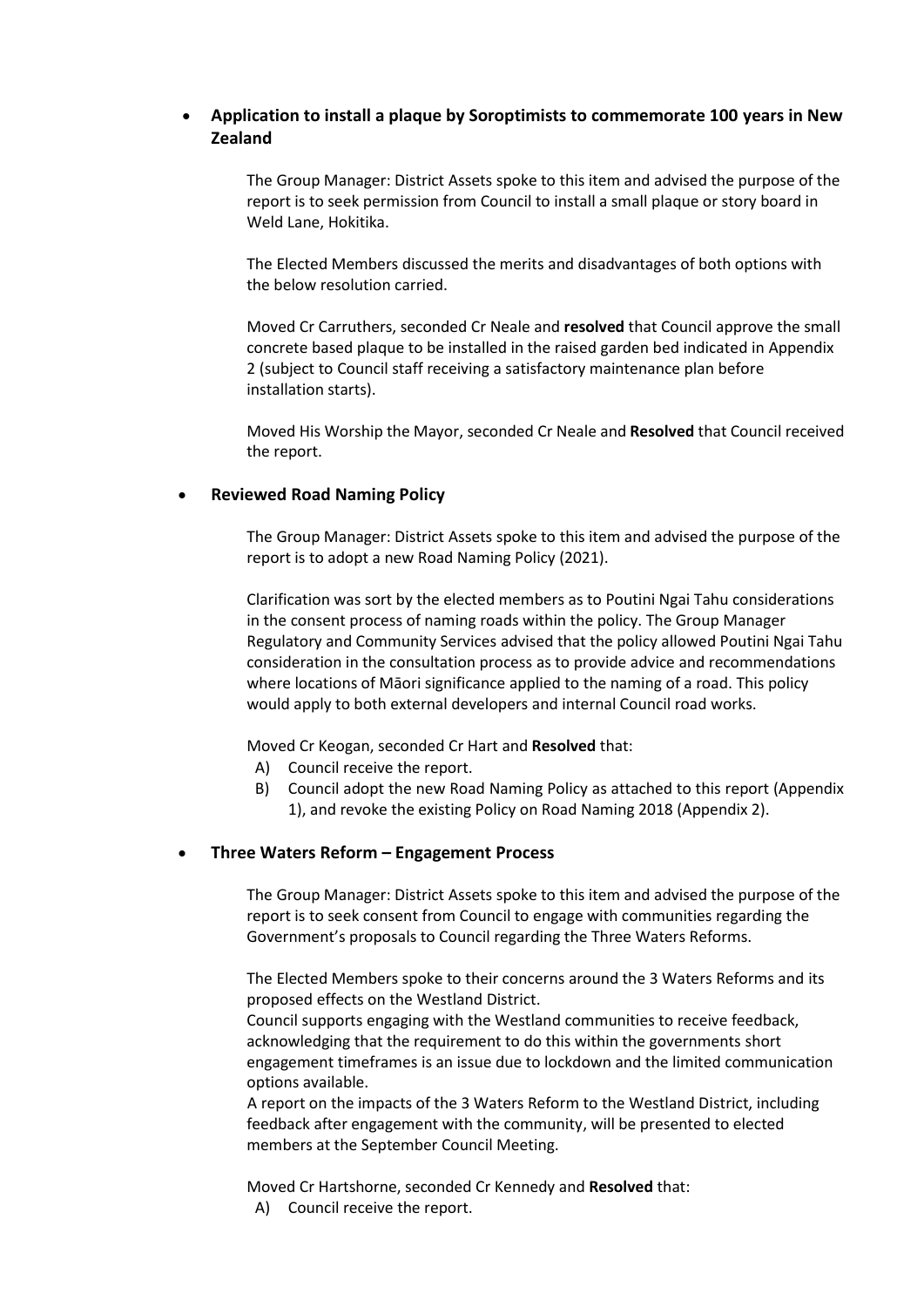## **Application to install a plaque by Soroptimists to commemorate 100 years in New Zealand**

The Group Manager: District Assets spoke to this item and advised the purpose of the report is to seek permission from Council to install a small plaque or story board in Weld Lane, Hokitika.

The Elected Members discussed the merits and disadvantages of both options with the below resolution carried.

Moved Cr Carruthers, seconded Cr Neale and **resolved** that Council approve the small concrete based plaque to be installed in the raised garden bed indicated in Appendix 2 (subject to Council staff receiving a satisfactory maintenance plan before installation starts).

Moved His Worship the Mayor, seconded Cr Neale and **Resolved** that Council received the report.

#### **Reviewed Road Naming Policy**

The Group Manager: District Assets spoke to this item and advised the purpose of the report is to adopt a new Road Naming Policy (2021).

Clarification was sort by the elected members as to Poutini Ngai Tahu considerations in the consent process of naming roads within the policy. The Group Manager Regulatory and Community Services advised that the policy allowed Poutini Ngai Tahu consideration in the consultation process as to provide advice and recommendations where locations of Māori significance applied to the naming of a road. This policy would apply to both external developers and internal Council road works.

Moved Cr Keogan, seconded Cr Hart and **Resolved** that:

- A) Council receive the report.
- B) Council adopt the new Road Naming Policy as attached to this report (Appendix 1), and revoke the existing Policy on Road Naming 2018 (Appendix 2).

#### **Three Waters Reform – Engagement Process**

The Group Manager: District Assets spoke to this item and advised the purpose of the report is to seek consent from Council to engage with communities regarding the Government's proposals to Council regarding the Three Waters Reforms.

The Elected Members spoke to their concerns around the 3 Waters Reforms and its proposed effects on the Westland District.

Council supports engaging with the Westland communities to receive feedback, acknowledging that the requirement to do this within the governments short engagement timeframes is an issue due to lockdown and the limited communication options available.

A report on the impacts of the 3 Waters Reform to the Westland District, including feedback after engagement with the community, will be presented to elected members at the September Council Meeting.

Moved Cr Hartshorne, seconded Cr Kennedy and **Resolved** that:

A) Council receive the report.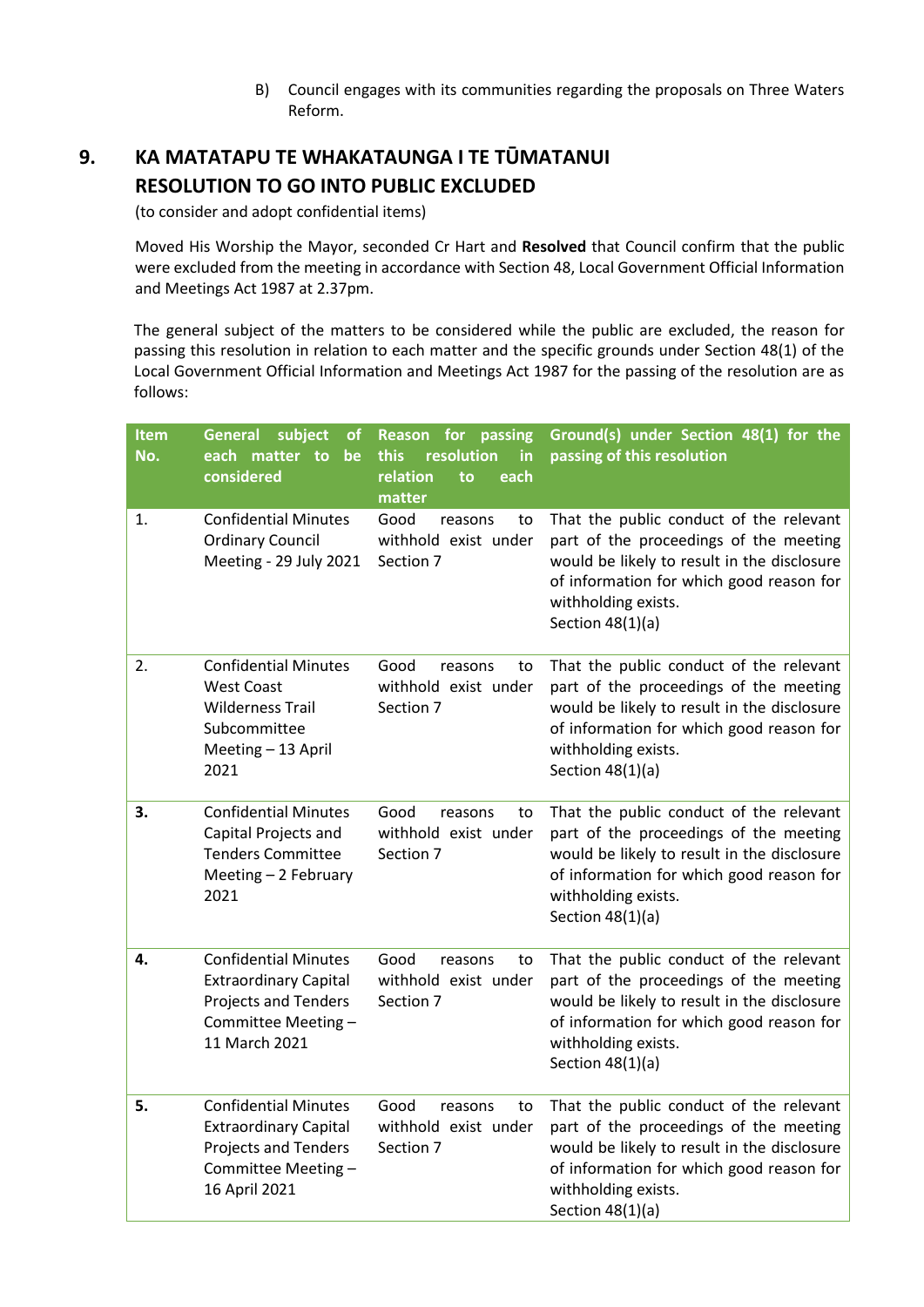B) Council engages with its communities regarding the proposals on Three Waters Reform.

## **9. KA MATATAPU TE WHAKATAUNGA I TE TŪMATANUI RESOLUTION TO GO INTO PUBLIC EXCLUDED**

(to consider and adopt confidential items)

 Moved His Worship the Mayor, seconded Cr Hart and **Resolved** that Council confirm that the public were excluded from the meeting in accordance with Section 48, Local Government Official Information and Meetings Act 1987 at 2.37pm.

The general subject of the matters to be considered while the public are excluded, the reason for passing this resolution in relation to each matter and the specific grounds under Section 48(1) of the Local Government Official Information and Meetings Act 1987 for the passing of the resolution are as follows:

| <b>Item</b><br>No. | <b>General</b><br>subject<br><b>of</b><br>each matter to<br>be<br>considered                                                       | Reason for<br>passing<br>resolution<br>in<br>this<br>relation<br>to<br>each<br>matter | Ground(s) under Section 48(1) for the<br>passing of this resolution                                                                                                                                                       |
|--------------------|------------------------------------------------------------------------------------------------------------------------------------|---------------------------------------------------------------------------------------|---------------------------------------------------------------------------------------------------------------------------------------------------------------------------------------------------------------------------|
| 1.                 | <b>Confidential Minutes</b><br><b>Ordinary Council</b><br>Meeting - 29 July 2021                                                   | Good<br>reasons<br>to<br>withhold exist under<br>Section 7                            | That the public conduct of the relevant<br>part of the proceedings of the meeting<br>would be likely to result in the disclosure<br>of information for which good reason for<br>withholding exists.<br>Section $48(1)(a)$ |
| 2.                 | <b>Confidential Minutes</b><br><b>West Coast</b><br><b>Wilderness Trail</b><br>Subcommittee<br>Meeting - 13 April<br>2021          | Good<br>reasons<br>to<br>withhold exist under<br>Section 7                            | That the public conduct of the relevant<br>part of the proceedings of the meeting<br>would be likely to result in the disclosure<br>of information for which good reason for<br>withholding exists.<br>Section $48(1)(a)$ |
| 3.                 | <b>Confidential Minutes</b><br>Capital Projects and<br><b>Tenders Committee</b><br>Meeting - 2 February<br>2021                    | Good<br>reasons<br>to<br>withhold exist under<br>Section 7                            | That the public conduct of the relevant<br>part of the proceedings of the meeting<br>would be likely to result in the disclosure<br>of information for which good reason for<br>withholding exists.<br>Section $48(1)(a)$ |
| 4.                 | <b>Confidential Minutes</b><br><b>Extraordinary Capital</b><br><b>Projects and Tenders</b><br>Committee Meeting -<br>11 March 2021 | Good<br>reasons<br>to<br>withhold exist under<br>Section 7                            | That the public conduct of the relevant<br>part of the proceedings of the meeting<br>would be likely to result in the disclosure<br>of information for which good reason for<br>withholding exists.<br>Section $48(1)(a)$ |
| 5.                 | <b>Confidential Minutes</b><br><b>Extraordinary Capital</b><br>Projects and Tenders<br>Committee Meeting -<br>16 April 2021        | Good<br>reasons<br>to<br>withhold exist under<br>Section 7                            | That the public conduct of the relevant<br>part of the proceedings of the meeting<br>would be likely to result in the disclosure<br>of information for which good reason for<br>withholding exists.<br>Section $48(1)(a)$ |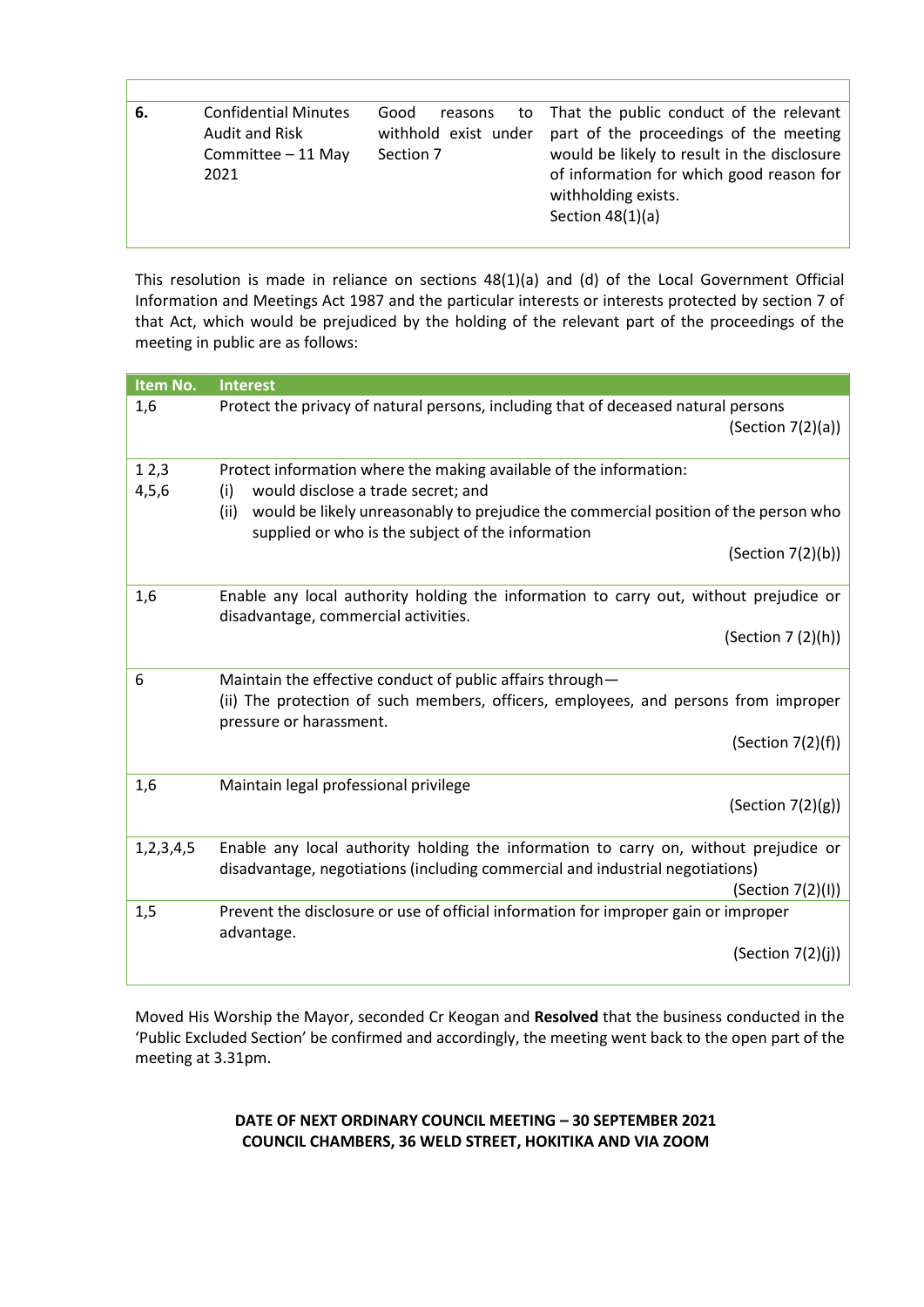| 6. | <b>Confidential Minutes</b><br>Audit and Risk<br>Committee - 11 May<br>2021 | Good<br>reasons<br>Section 7 | to That the public conduct of the relevant<br>withhold exist under part of the proceedings of the meeting<br>would be likely to result in the disclosure<br>of information for which good reason for<br>withholding exists.<br>Section $48(1)(a)$ |
|----|-----------------------------------------------------------------------------|------------------------------|---------------------------------------------------------------------------------------------------------------------------------------------------------------------------------------------------------------------------------------------------|

This resolution is made in reliance on sections 48(1)(a) and (d) of the Local Government Official Information and Meetings Act 1987 and the particular interests or interests protected by section 7 of that Act, which would be prejudiced by the holding of the relevant part of the proceedings of the meeting in public are as follows:

| Item No.        | <b>Interest</b>                                                                                                                                                                                                                                                                          |
|-----------------|------------------------------------------------------------------------------------------------------------------------------------------------------------------------------------------------------------------------------------------------------------------------------------------|
| 1,6             | Protect the privacy of natural persons, including that of deceased natural persons<br>(Section 7(2)(a))                                                                                                                                                                                  |
| 12,3<br>4, 5, 6 | Protect information where the making available of the information:<br>would disclose a trade secret; and<br>(i)<br>would be likely unreasonably to prejudice the commercial position of the person who<br>(ii)<br>supplied or who is the subject of the information<br>(Section 7(2)(b)) |
| 1,6             | Enable any local authority holding the information to carry out, without prejudice or<br>disadvantage, commercial activities.<br>(Section 7 (2)(h))                                                                                                                                      |
| 6               | Maintain the effective conduct of public affairs through-<br>(ii) The protection of such members, officers, employees, and persons from improper<br>pressure or harassment.<br>(Section 7(2)(f))                                                                                         |
| 1,6             | Maintain legal professional privilege<br>(Section 7(2)(g))                                                                                                                                                                                                                               |
| 1, 2, 3, 4, 5   | Enable any local authority holding the information to carry on, without prejudice or<br>disadvantage, negotiations (including commercial and industrial negotiations)<br>(Section 7(2)(I))                                                                                               |
| 1,5             | Prevent the disclosure or use of official information for improper gain or improper<br>advantage.<br>(Section $7(2)(j)$ )                                                                                                                                                                |

Moved His Worship the Mayor, seconded Cr Keogan and **Resolved** that the business conducted in the 'Public Excluded Section' be confirmed and accordingly, the meeting went back to the open part of the meeting at 3.31pm.

> **DATE OF NEXT ORDINARY COUNCIL MEETING – 30 SEPTEMBER 2021 COUNCIL CHAMBERS, 36 WELD STREET, HOKITIKA AND VIA ZOOM**